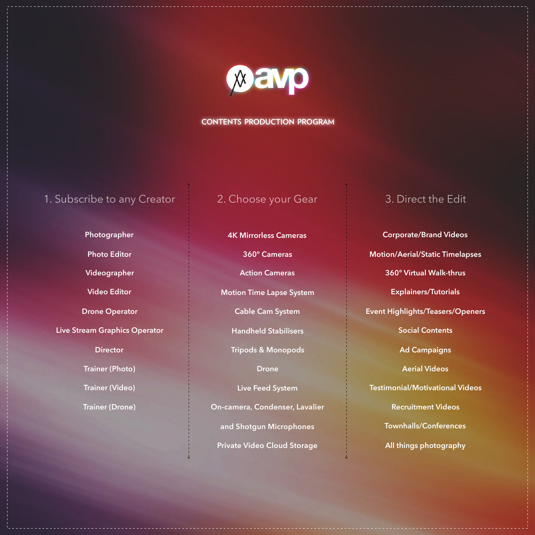

## **CONTENTS PRODUCTION PROGRAM**

# 1. Subscribe to any Creator 2. Choose your Gear 3. Direct the Edit

**Photographer Photo Editor Videographer Video Editor Drone Operator Live Stream Graphics Operator Director Trainer (Photo)** 

**Trainer (Video)**

**Trainer (Drone)**

**4K Mirrorless Cameras** 

**360° Cameras** 

**Action Cameras** 

**Motion Time Lapse System** 

**Cable Cam System** 

**Handheld Stabilisers** 

**Tripods & Monopods** 

**Drone** 

**Live Feed System On-camera, Condenser, Lavalier and Shotgun Microphones Private Video Cloud Storage**

**Corporate/Brand Videos Motion/Aerial/Static Timelapses 360° Virtual Walk-thrus Explainers/Tutorials Event Highlights/Teasers/Openers Social Contents Ad Campaigns Aerial Videos Testimonial/Motivational Videos Recruitment Videos Townhalls/Conferences All things photography**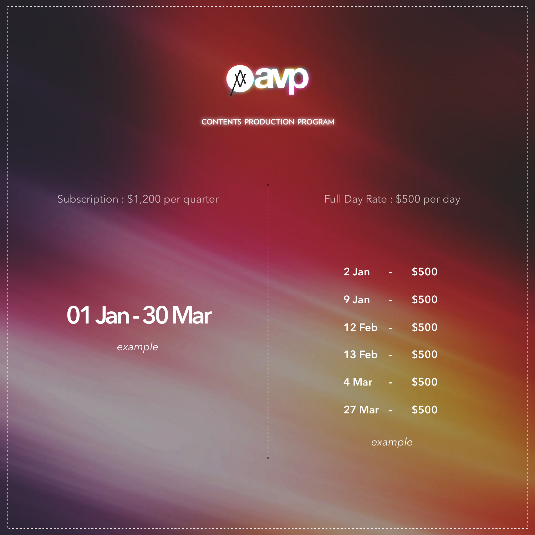

**CONTENTS PRODUCTION PROGRAM**

# Subscription : \$1,200 per quarter Full Day Rate : \$500 per day

# **01 Jan - 30 Mar**

*example*

| 2 Jan  |   | <b>\$500</b> |
|--------|---|--------------|
| 9 Jan  | ۰ | \$500        |
| 12 Feb |   | \$500        |
| 13 Feb | ۰ | <b>\$500</b> |
| 4 Mar  |   | \$500        |
| 27 Mar |   | <b>\$500</b> |

*example*